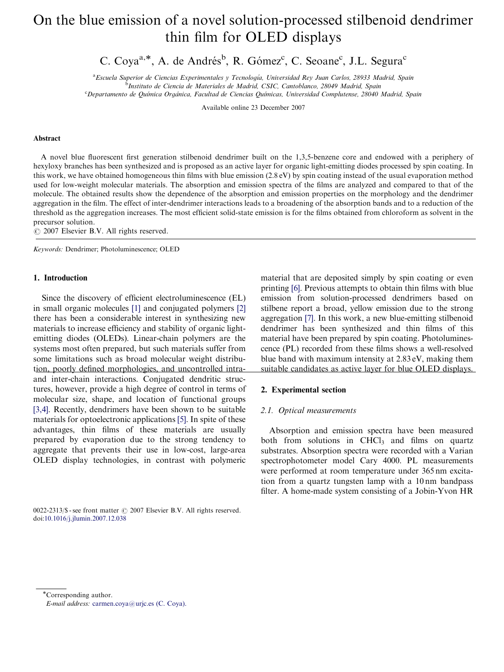# On the blue emission of a novel solution-processed stilbenoid dendrimer thin film for OLED displays

C. Coya<sup>a,\*</sup>, A. de Andrés<sup>b</sup>, R. Gómez<sup>c</sup>, C. Seoane<sup>c</sup>, J.L. Segura<sup>c</sup>

<sup>a</sup> Escuela Superior de Ciencias Experimentales y Tecnología, Universidad Rey Juan Carlos, 28933 Madrid, Spain

<sup>b</sup>Instituto de Ciencia de Materiales de Madrid, CSIC, Cantoblanco, 28049 Madrid, Spain

<sup>c</sup> Departamento de Química Orgánica, Facultad de Ciencias Químicas, Universidad Complutense, 28040 [Madrid, Spain](www.elsevier.com/locate/jlumin)

Available online 23 December 2007

### Abstract

A novel blue fluorescent first generation stilbenoid dendrimer built on the 1,3,5-benzene core and endowed with a periphery of hexyloxy branches has been synthesized and is proposed as an active layer for organic light-emitting diodes processed by spin coating. In this work, we have obtained homogeneous thin films with blue emission (2.8 eV) by spin coating instead of the usual evaporation method used for low-weight molecular materials. The absorption and emission spectra of the films are analyzed and compared to that of the molecule. The obtained results show the dependence of the absorption and emission properties on the morphology and the dendrimer aggregation in the film. The effect of inter-dendrimer interactions leads to a broadening of the absorption bands and to a reduction of the threshold as the aggregation increases. The most efficient solid-state emission is for the films obtained from chloroform as solvent in the precursor solution.

 $O$  2007 Elsevier B.V. All rights reserved.

Keywords: Dendrimer; Photoluminescence; OLED

# 1. Introduction

Since the discovery of efficient electroluminescence (EL) in small organic molecules [1] and conjugated polymers [2] there has been a considerable interest in synthesizing new materials to increase efficiency and stability of organic lightemitting diodes (OLEDs). Linear-chain polymers are the systems most often prepared, but such materials suffer from some limitations such as broad molecular weight distribution, poorly defined morphologies, and uncontrolled intraand inter-chain interactions. Conjugated dendritic structures, however, provide a high degree of control in terms of molecular size, shape, and location of functional groups [3,4]. Recently, dendrimers have been shown to be suitable materials for optoelectronic [app](#page-3-0)lications [5]. In spite of the[se](#page-3-0) advantages, thin films of these materials are usually prepared by evaporation due to the strong tendency to aggregate that prevents their use in low-cost, large-area OLED display technologies, in contrast with polymeric

0022-2313/\$ - see front matter  $\odot$  2007 Elsevier B.V. All rights reserved. [doi:10](#page-3-0).1016/j.jlumin.2007.12.038

material that are deposited simply by spin coating or even printing [6]. Previous attempts to obtain thin films with blue emission from solution-processed dendrimers based on stilbene report a broad, yellow emission due to the strong aggregation [7]. In this work, a new blue-emitting stilbenoid dendrimer has been synthesized and thin films of this material have been prepared by spin coating. Photoluminescence (PL) recorded from these films shows a well-resolved blue band with maximum intensity at 2.83 eV, making them suitable candidates as active layer for blue OLED displays.

### 2. Experimental section

### 2.1. Optical measurements

Absorptio[n a](#page-3-0)nd emission spectra have been measured both from solutions in  $CHCl<sub>3</sub>$  and films on quartz substrates. Absorption spectra were recorded with a Varian spectrophotometer model Cary 4000. PL measurements were performed at room temperature under 365 nm excitation from a quartz tungsten lamp with a 10 nm bandpass filter. A home-made system consisting of a Jobin-Yvon HR

\*Corresponding author.

E-mail address: [carmen.coya@urjc.es \(C. Coya\).](mailto:carmen.coya@urjc.es)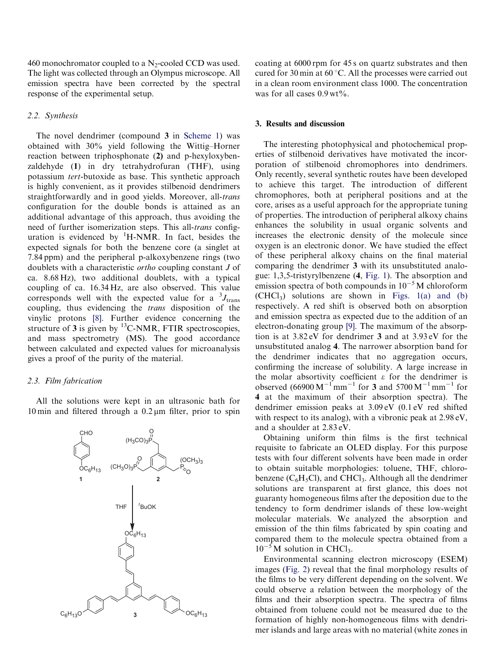460 monochromator coupled to a  $N_2$ -cooled CCD was used. The light was collected through an Olympus microscope. All emission spectra have been corrected by the spectral response of the experimental setup.

## 2.2. Synthesis

The novel dendrimer (compound 3 in Scheme 1) was obtained with 30% yield following the Wittig–Horner reaction between triphosphonate (2) and p-hexyloxybenzaldehyde (1) in dry tetrahydrofuran (THF), using potassium tert-butoxide as base. This synthetic approach is highly convenient, as it provides stilbenoid dendrimers straightforwardly and in good yields. Moreover, all-trans configuration for the double bonds is attained as an additional advantage of this approach, thus avoiding the need of further isomerization steps. This all-trans configuration is evidenced by <sup>1</sup>H-NMR. In fact, besides the expected signals for both the benzene core (a singlet at 7.84 ppm) and the peripheral p-alkoxybenzene rings (two doublets with a characteristic ortho coupling constant J of ca. 8.68 Hz), two additional doublets, with a typical coupling of ca. 16.34 Hz, are also observed. This value corresponds well with the expected value for a  $\mathrm{^{3}J_{trans}}$ coupling, thus evidencing the trans disposition of the vinylic protons [\[8\]](#page-3-0). Further evidence concerning the structure of 3 is given by  $^{13}$ C-NMR, FTIR spectroscopies, and mass spectrometry (MS). The good accordance between calculated and expected values for microanalysis gives a proof of the purity of the material.

# 2.3. Film fabrication

All the solutions were kept in an ultrasonic bath for 10 min and filtered through a  $0.2 \mu m$  filter, prior to spin



coating at 6000 rpm for 45 s on quartz substrates and then cured for 30 min at  $60^{\circ}$ C. All the processes were carried out in a clean room environment class 1000. The concentration was for all cases  $0.9 \text{ wt\%}$ .

## 3. Results and discussion

The interesting photophysical and photochemical properties of stilbenoid derivatives have motivated the incorporation of stilbenoid chromophores into dendrimers. Only recently, several synthetic routes have been developed to achieve this target. The introduction of different chromophores, both at peripheral positions and at the core, arises as a useful approach for the appropriate tuning of properties. The introduction of peripheral alkoxy chains enhances the solubility in usual organic solvents and increases the electronic density of the molecule since oxygen is an electronic donor. We have studied the effect of these peripheral alkoxy chains on the final material comparing the dendrimer 3 with its unsubstituted analogue: 1,3,5-tristyrylbenzene (4, [Fig. 1\)](#page-2-0). The absorption and emission spectra of both compounds in  $10^{-5}$  M chloroform  $(CHCl<sub>3</sub>)$  solutions are shown in [Figs. 1\(a\) and \(b\)](#page-2-0) respectively. A red shift is observed both on absorption and emission spectra as expected due to the addition of an electron-donating group [\[9\]](#page-3-0). The maximum of the absorption is at 3.82 eV for dendrimer 3 and at 3.93 eV for the unsubstituted analog 4. The narrower absorption band for the dendrimer indicates that no aggregation occurs, confirming the increase of solubility. A large increase in the molar absortivity coefficient  $\varepsilon$  for the dendrimer is observed  $(66900 M^{-1} \text{mm}^{-1}$  for 3 and 5700 M<sup>-1</sup> mm<sup>-1</sup> for 4 at the maximum of their absorption spectra). The dendrimer emission peaks at 3.09 eV (0.1 eV red shifted with respect to its analog), with a vibronic peak at  $2.98 \text{ eV}$ , and a shoulder at 2.83 eV.

Obtaining uniform thin films is the first technical requisite to fabricate an OLED display. For this purpose tests with four different solvents have been made in order to obtain suitable morphologies: toluene, THF, chlorobenzene  $(C_6H_5Cl)$ , and CHCl<sub>3</sub>. Although all the dendrimer solutions are transparent at first glance, this does not guaranty homogeneous films after the deposition due to the tendency to form dendrimer islands of these low-weight molecular materials. We analyzed the absorption and emission of the thin films fabricated by spin coating and compared them to the molecule spectra obtained from a  $10^{-5}$  M solution in CHCl<sub>3</sub>.

Environmental scanning electron microscopy (ESEM) images [\(Fig. 2\)](#page-2-0) reveal that the final morphology results of the films to be very different depending on the solvent. We could observe a relation between the morphology of the films and their absorption spectra. The spectra of films obtained from toluene could not be measured due to the formation of highly non-homogeneous films with dendrimer islands and large areas with no material (white zones in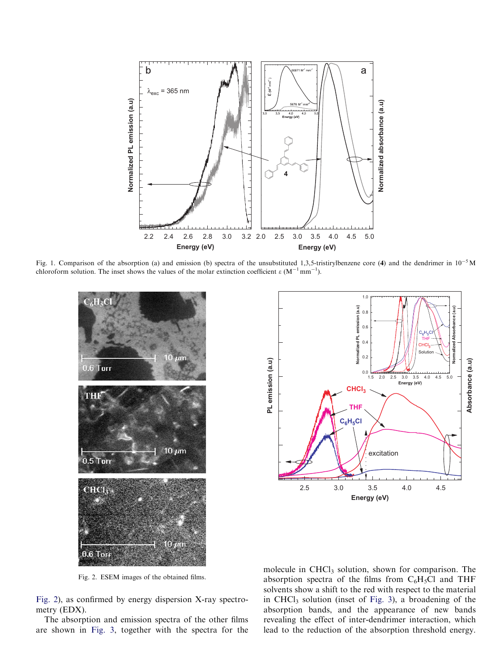<span id="page-2-0"></span>

Fig. 1. Comparison of the absorption (a) and emission (b) spectra of the unsubstituted 1,3,5-tristirylbenzene core (4) and the dendrimer in  $10^{-5}$  M chloroform solution. The inset shows the values of the molar extinction coefficient  $\varepsilon (M^{-1} \text{mm}^{-1})$ .



 $(a.u)$ **Normalized PL emission (a.u) Normalized Absorbance (a.u)** 0.8 0.6 lized PL THF 0.4 Solution 0.2 PL emission (a.u) Absorbance (a.u) **PL emission (a.u) Absorbance (a.u)** 0.0 2.0 2.5 3.0 3.5 4.0 4.5 5.01.5 **Energy (eV) CHCl3 THF C6H5Cl** excitation 2.5 3.0 3.5 4.0 4.5 **Energy (eV)**

1.0

Fig. 2. ESEM images of the obtained films.

Fig. 2), as confirmed by energy dispersion X-ray spectrometry (EDX).

The absorption and emission spectra of the other films are shown in Fig. 3, together with the spectra for the molecule in  $CHCl<sub>3</sub>$  solution, shown for comparison. The absorption spectra of the films from  $C_6H_5Cl$  and THF solvents show a shift to the red with respect to the material in CHCl<sub>3</sub> solution (inset of Fig. 3), a broadening of the absorption bands, and the appearance of new bands revealing the effect of inter-dendrimer interaction, which lead to the reduction of the absorption threshold energy.